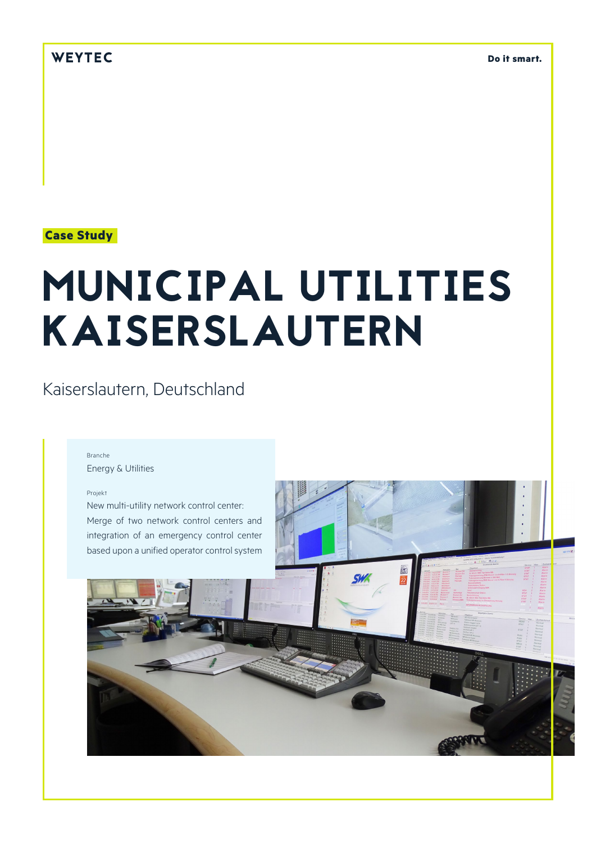## WEYTEC

**Do it smart.**

### **Case Study**

# MUNICIPAL UTILITIES KAISERSLAUTERN

# Kaiserslautern, Deutschland

#### Branche

Energy & Utilities

#### Projekt

New multi-utility network control center: Merge of two network control centers and integration of an emergency control center based upon a unified operator control system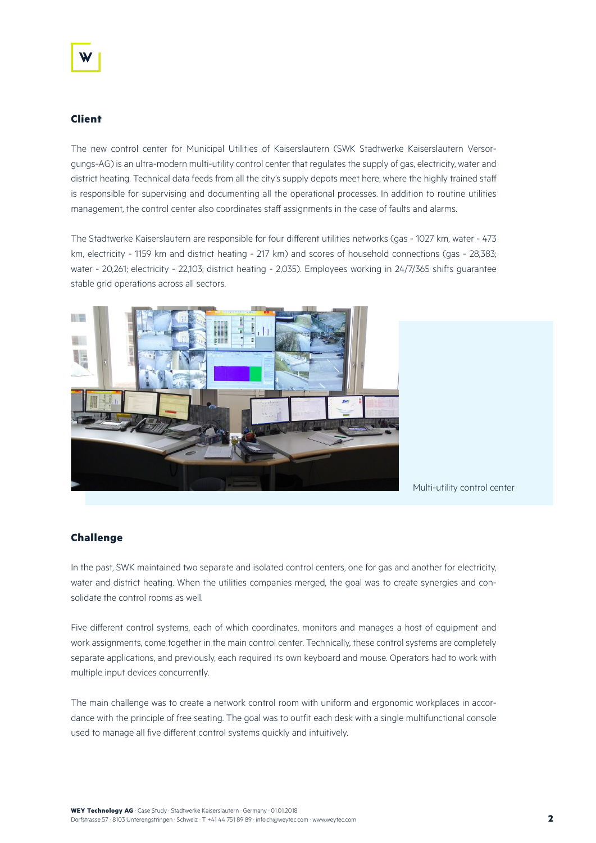#### **Client**

The new control center for Municipal Utilities of Kaiserslautern (SWK Stadtwerke Kaiserslautern Versorgungs-AG) is an ultra-modern multi-utility control center that regulates the supply of gas, electricity, water and district heating. Technical data feeds from all the city's supply depots meet here, where the highly trained staff is responsible for supervising and documenting all the operational processes. In addition to routine utilities management, the control center also coordinates staff assignments in the case of faults and alarms.

The Stadtwerke Kaiserslautern are responsible for four different utilities networks (gas - 1027 km, water - 473 km, electricity - 1159 km and district heating - 217 km) and scores of household connections (gas - 28,383; water - 20,261; electricity - 22,103; district heating - 2,035). Employees working in 24/7/365 shifts guarantee stable grid operations across all sectors.



Multi-utility control center

#### **Challenge**

In the past, SWK maintained two separate and isolated control centers, one for gas and another for electricity, water and district heating. When the utilities companies merged, the goal was to create synergies and consolidate the control rooms as well.

Five different control systems, each of which coordinates, monitors and manages a host of equipment and work assignments, come together in the main control center. Technically, these control systems are completely separate applications, and previously, each required its own keyboard and mouse. Operators had to work with multiple input devices concurrently.

The main challenge was to create a network control room with uniform and ergonomic workplaces in accordance with the principle of free seating. The goal was to outfit each desk with a single multifunctional console used to manage all five different control systems quickly and intuitively.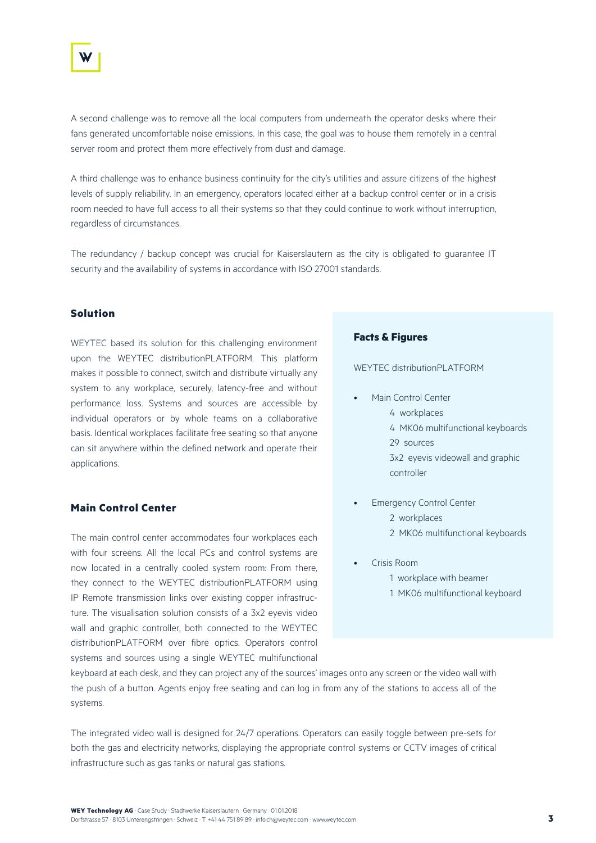

A second challenge was to remove all the local computers from underneath the operator desks where their fans generated uncomfortable noise emissions. In this case, the goal was to house them remotely in a central server room and protect them more effectively from dust and damage.

A third challenge was to enhance business continuity for the city's utilities and assure citizens of the highest levels of supply reliability. In an emergency, operators located either at a backup control center or in a crisis room needed to have full access to all their systems so that they could continue to work without interruption, regardless of circumstances.

The redundancy / backup concept was crucial for Kaiserslautern as the city is obligated to guarantee IT security and the availability of systems in accordance with ISO 27001 standards.

#### **Solution**

WEYTEC based its solution for this challenging environment upon the WEYTEC distributionPLATFORM. This platform makes it possible to connect, switch and distribute virtually any system to any workplace, securely, latency-free and without performance loss. Systems and sources are accessible by individual operators or by whole teams on a collaborative basis. Identical workplaces facilitate free seating so that anyone can sit anywhere within the defined network and operate their applications.

#### **Main Control Center**

The main control center accommodates four workplaces each with four screens. All the local PCs and control systems are now located in a centrally cooled system room: From there, they connect to the WEYTEC distributionPLATFORM using IP Remote transmission links over existing copper infrastructure. The visualisation solution consists of a 3x2 eyevis video wall and graphic controller, both connected to the WEYTEC distributionPLATFORM over fibre optics. Operators control systems and sources using a single WEYTEC multifunctional

#### **Facts & Figures**

WEYTEC distributionPLATFORM

- Main Control Center
	- 4 workplaces
	- 4 MK06 multifunctional keyboards 29 sources 3x2 eyevis videowall and graphic
	- controller
- Emergency Control Center 2 workplaces 2 MK06 multifunctional keyboards
- Crisis Room
	- 1 workplace with beamer
	- 1 MK06 multifunctional keyboard

keyboard at each desk, and they can project any of the sources' images onto any screen or the video wall with the push of a button. Agents enjoy free seating and can log in from any of the stations to access all of the systems.

The integrated video wall is designed for 24/7 operations. Operators can easily toggle between pre-sets for both the gas and electricity networks, displaying the appropriate control systems or CCTV images of critical infrastructure such as gas tanks or natural gas stations.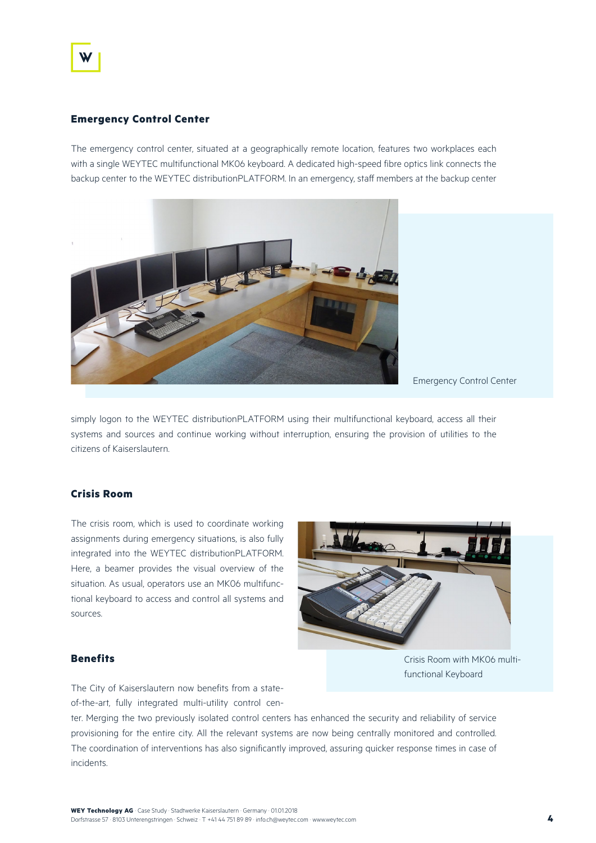#### **Emergency Control Center**

The emergency control center, situated at a geographically remote location, features two workplaces each with a single WEYTEC multifunctional MK06 keyboard. A dedicated high-speed fibre optics link connects the backup center to the WEYTEC distributionPLATFORM. In an emergency, staff members at the backup center



Emergency Control Center

simply logon to the WEYTEC distributionPLATFORM using their multifunctional keyboard, access all their systems and sources and continue working without interruption, ensuring the provision of utilities to the citizens of Kaiserslautern.

#### **Crisis Room**

The crisis room, which is used to coordinate working assignments during emergency situations, is also fully integrated into the WEYTEC distributionPLATFORM. Here, a beamer provides the visual overview of the situation. As usual, operators use an MK06 multifunctional keyboard to access and control all systems and sources.



#### **Benefits**

Crisis Room with MK06 multifunctional Keyboard

The City of Kaiserslautern now benefits from a stateof-the-art, fully integrated multi-utility control cen-

ter. Merging the two previously isolated control centers has enhanced the security and reliability of service provisioning for the entire city. All the relevant systems are now being centrally monitored and controlled. The coordination of interventions has also significantly improved, assuring quicker response times in case of incidents.